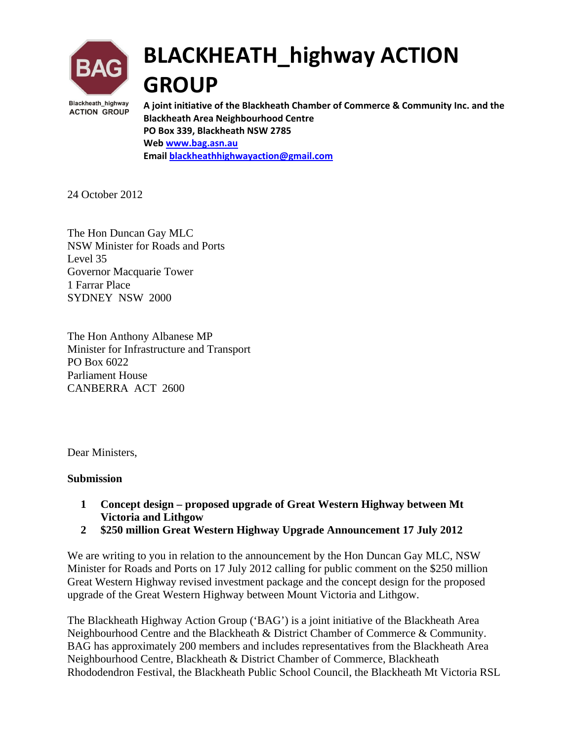

# **BLACKHEATH\_highway ACTION GROUP**

**A joint initiative of the Blackheath Chamber of Commerce & Community Inc. and the Blackheath Area Neighbourhood Centre PO Box 339, Blackheath NSW 2785 Web www.bag.asn.au Email blackheathhighwayaction@gmail.com**

24 October 2012

The Hon Duncan Gay MLC NSW Minister for Roads and Ports Level 35 Governor Macquarie Tower 1 Farrar Place SYDNEY NSW 2000

The Hon Anthony Albanese MP Minister for Infrastructure and Transport PO Box 6022 Parliament House CANBERRA ACT 2600

Dear Ministers,

#### **Submission**

- **1 Concept design proposed upgrade of Great Western Highway between Mt Victoria and Lithgow**
- **2 \$250 million Great Western Highway Upgrade Announcement 17 July 2012**

We are writing to you in relation to the announcement by the Hon Duncan Gay MLC, NSW Minister for Roads and Ports on 17 July 2012 calling for public comment on the \$250 million Great Western Highway revised investment package and the concept design for the proposed upgrade of the Great Western Highway between Mount Victoria and Lithgow.

The Blackheath Highway Action Group ('BAG') is a joint initiative of the Blackheath Area Neighbourhood Centre and the Blackheath & District Chamber of Commerce & Community. BAG has approximately 200 members and includes representatives from the Blackheath Area Neighbourhood Centre, Blackheath & District Chamber of Commerce, Blackheath Rhododendron Festival, the Blackheath Public School Council, the Blackheath Mt Victoria RSL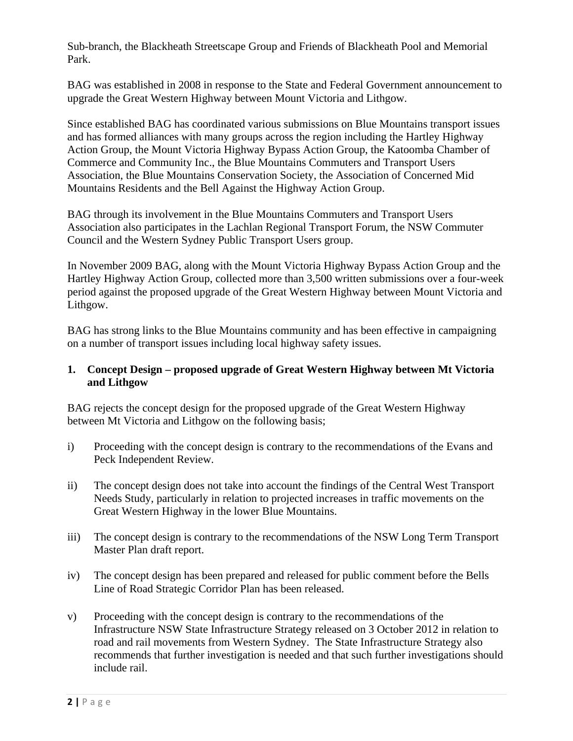Sub-branch, the Blackheath Streetscape Group and Friends of Blackheath Pool and Memorial Park.

BAG was established in 2008 in response to the State and Federal Government announcement to upgrade the Great Western Highway between Mount Victoria and Lithgow.

Since established BAG has coordinated various submissions on Blue Mountains transport issues and has formed alliances with many groups across the region including the Hartley Highway Action Group, the Mount Victoria Highway Bypass Action Group, the Katoomba Chamber of Commerce and Community Inc., the Blue Mountains Commuters and Transport Users Association, the Blue Mountains Conservation Society, the Association of Concerned Mid Mountains Residents and the Bell Against the Highway Action Group.

BAG through its involvement in the Blue Mountains Commuters and Transport Users Association also participates in the Lachlan Regional Transport Forum, the NSW Commuter Council and the Western Sydney Public Transport Users group.

In November 2009 BAG, along with the Mount Victoria Highway Bypass Action Group and the Hartley Highway Action Group, collected more than 3,500 written submissions over a four-week period against the proposed upgrade of the Great Western Highway between Mount Victoria and Lithgow.

BAG has strong links to the Blue Mountains community and has been effective in campaigning on a number of transport issues including local highway safety issues.

#### **1. Concept Design – proposed upgrade of Great Western Highway between Mt Victoria and Lithgow**

BAG rejects the concept design for the proposed upgrade of the Great Western Highway between Mt Victoria and Lithgow on the following basis;

- i) Proceeding with the concept design is contrary to the recommendations of the Evans and Peck Independent Review.
- ii) The concept design does not take into account the findings of the Central West Transport Needs Study, particularly in relation to projected increases in traffic movements on the Great Western Highway in the lower Blue Mountains.
- iii) The concept design is contrary to the recommendations of the NSW Long Term Transport Master Plan draft report.
- iv) The concept design has been prepared and released for public comment before the Bells Line of Road Strategic Corridor Plan has been released.
- v) Proceeding with the concept design is contrary to the recommendations of the Infrastructure NSW State Infrastructure Strategy released on 3 October 2012 in relation to road and rail movements from Western Sydney. The State Infrastructure Strategy also recommends that further investigation is needed and that such further investigations should include rail.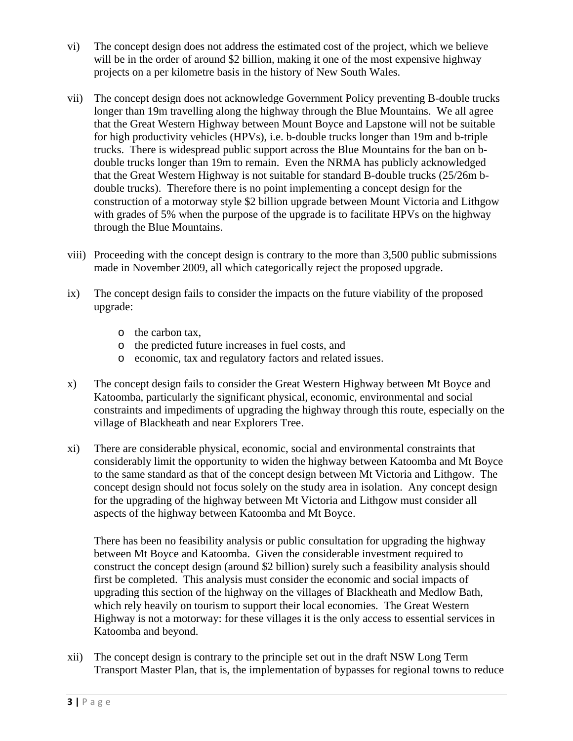- vi) The concept design does not address the estimated cost of the project, which we believe will be in the order of around \$2 billion, making it one of the most expensive highway projects on a per kilometre basis in the history of New South Wales.
- vii) The concept design does not acknowledge Government Policy preventing B-double trucks longer than 19m travelling along the highway through the Blue Mountains. We all agree that the Great Western Highway between Mount Boyce and Lapstone will not be suitable for high productivity vehicles (HPVs), i.e. b-double trucks longer than 19m and b-triple trucks. There is widespread public support across the Blue Mountains for the ban on bdouble trucks longer than 19m to remain. Even the NRMA has publicly acknowledged that the Great Western Highway is not suitable for standard B-double trucks (25/26m bdouble trucks). Therefore there is no point implementing a concept design for the construction of a motorway style \$2 billion upgrade between Mount Victoria and Lithgow with grades of 5% when the purpose of the upgrade is to facilitate HPVs on the highway through the Blue Mountains.
- viii) Proceeding with the concept design is contrary to the more than 3,500 public submissions made in November 2009, all which categorically reject the proposed upgrade.
- ix) The concept design fails to consider the impacts on the future viability of the proposed upgrade:
	- o the carbon tax,
	- o the predicted future increases in fuel costs, and
	- o economic, tax and regulatory factors and related issues.
- x) The concept design fails to consider the Great Western Highway between Mt Boyce and Katoomba, particularly the significant physical, economic, environmental and social constraints and impediments of upgrading the highway through this route, especially on the village of Blackheath and near Explorers Tree.
- xi) There are considerable physical, economic, social and environmental constraints that considerably limit the opportunity to widen the highway between Katoomba and Mt Boyce to the same standard as that of the concept design between Mt Victoria and Lithgow. The concept design should not focus solely on the study area in isolation. Any concept design for the upgrading of the highway between Mt Victoria and Lithgow must consider all aspects of the highway between Katoomba and Mt Boyce.

There has been no feasibility analysis or public consultation for upgrading the highway between Mt Boyce and Katoomba. Given the considerable investment required to construct the concept design (around \$2 billion) surely such a feasibility analysis should first be completed. This analysis must consider the economic and social impacts of upgrading this section of the highway on the villages of Blackheath and Medlow Bath, which rely heavily on tourism to support their local economies. The Great Western Highway is not a motorway: for these villages it is the only access to essential services in Katoomba and beyond.

xii) The concept design is contrary to the principle set out in the draft NSW Long Term Transport Master Plan, that is, the implementation of bypasses for regional towns to reduce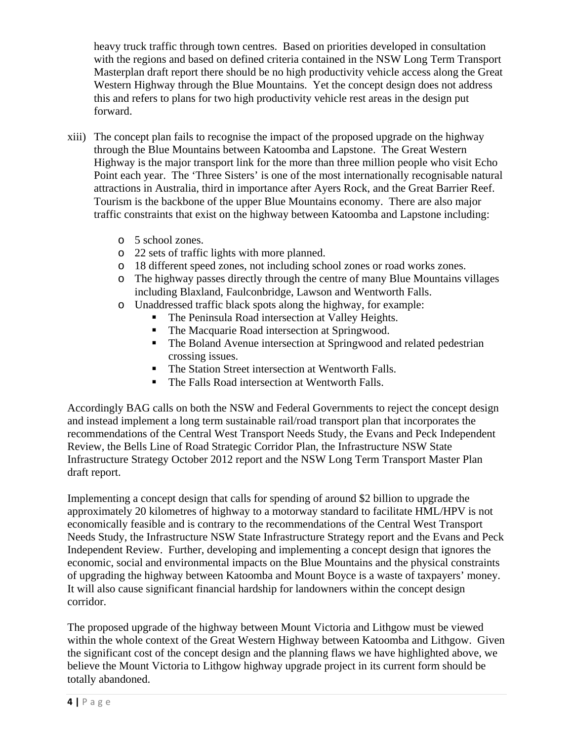heavy truck traffic through town centres. Based on priorities developed in consultation with the regions and based on defined criteria contained in the NSW Long Term Transport Masterplan draft report there should be no high productivity vehicle access along the Great Western Highway through the Blue Mountains. Yet the concept design does not address this and refers to plans for two high productivity vehicle rest areas in the design put forward.

- xiii) The concept plan fails to recognise the impact of the proposed upgrade on the highway through the Blue Mountains between Katoomba and Lapstone. The Great Western Highway is the major transport link for the more than three million people who visit Echo Point each year. The 'Three Sisters' is one of the most internationally recognisable natural attractions in Australia, third in importance after Ayers Rock, and the Great Barrier Reef. Tourism is the backbone of the upper Blue Mountains economy. There are also major traffic constraints that exist on the highway between Katoomba and Lapstone including:
	- o 5 school zones.
	- o 22 sets of traffic lights with more planned.
	- o 18 different speed zones, not including school zones or road works zones.
	- o The highway passes directly through the centre of many Blue Mountains villages including Blaxland, Faulconbridge, Lawson and Wentworth Falls.
	- o Unaddressed traffic black spots along the highway, for example:
		- The Peninsula Road intersection at Valley Heights.
		- The Macquarie Road intersection at Springwood.
		- The Boland Avenue intersection at Springwood and related pedestrian crossing issues.
		- The Station Street intersection at Wentworth Falls.
		- The Falls Road intersection at Wentworth Falls.

Accordingly BAG calls on both the NSW and Federal Governments to reject the concept design and instead implement a long term sustainable rail/road transport plan that incorporates the recommendations of the Central West Transport Needs Study, the Evans and Peck Independent Review, the Bells Line of Road Strategic Corridor Plan, the Infrastructure NSW State Infrastructure Strategy October 2012 report and the NSW Long Term Transport Master Plan draft report.

Implementing a concept design that calls for spending of around \$2 billion to upgrade the approximately 20 kilometres of highway to a motorway standard to facilitate HML/HPV is not economically feasible and is contrary to the recommendations of the Central West Transport Needs Study, the Infrastructure NSW State Infrastructure Strategy report and the Evans and Peck Independent Review. Further, developing and implementing a concept design that ignores the economic, social and environmental impacts on the Blue Mountains and the physical constraints of upgrading the highway between Katoomba and Mount Boyce is a waste of taxpayers' money. It will also cause significant financial hardship for landowners within the concept design corridor.

The proposed upgrade of the highway between Mount Victoria and Lithgow must be viewed within the whole context of the Great Western Highway between Katoomba and Lithgow. Given the significant cost of the concept design and the planning flaws we have highlighted above, we believe the Mount Victoria to Lithgow highway upgrade project in its current form should be totally abandoned.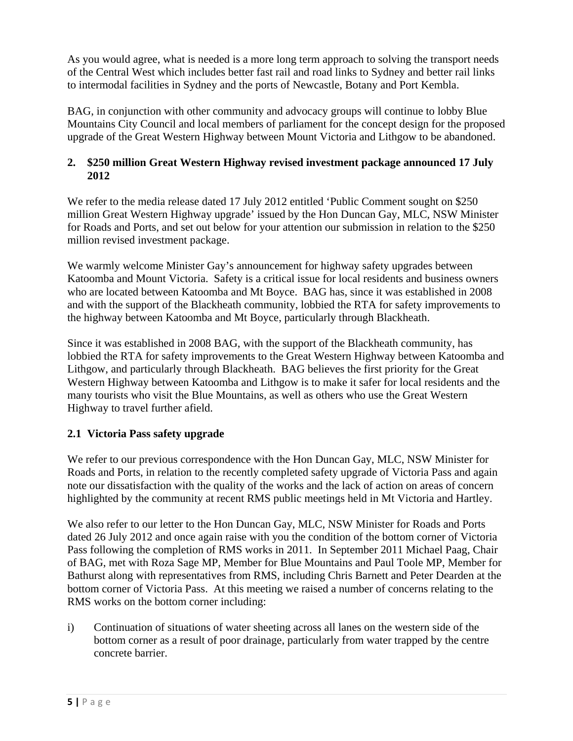As you would agree, what is needed is a more long term approach to solving the transport needs of the Central West which includes better fast rail and road links to Sydney and better rail links to intermodal facilities in Sydney and the ports of Newcastle, Botany and Port Kembla.

BAG, in conjunction with other community and advocacy groups will continue to lobby Blue Mountains City Council and local members of parliament for the concept design for the proposed upgrade of the Great Western Highway between Mount Victoria and Lithgow to be abandoned.

### **2. \$250 million Great Western Highway revised investment package announced 17 July 2012**

We refer to the media release dated 17 July 2012 entitled 'Public Comment sought on \$250 million Great Western Highway upgrade' issued by the Hon Duncan Gay, MLC, NSW Minister for Roads and Ports, and set out below for your attention our submission in relation to the \$250 million revised investment package.

We warmly welcome Minister Gay's announcement for highway safety upgrades between Katoomba and Mount Victoria. Safety is a critical issue for local residents and business owners who are located between Katoomba and Mt Boyce. BAG has, since it was established in 2008 and with the support of the Blackheath community, lobbied the RTA for safety improvements to the highway between Katoomba and Mt Boyce, particularly through Blackheath.

Since it was established in 2008 BAG, with the support of the Blackheath community, has lobbied the RTA for safety improvements to the Great Western Highway between Katoomba and Lithgow, and particularly through Blackheath. BAG believes the first priority for the Great Western Highway between Katoomba and Lithgow is to make it safer for local residents and the many tourists who visit the Blue Mountains, as well as others who use the Great Western Highway to travel further afield.

## **2.1 Victoria Pass safety upgrade**

We refer to our previous correspondence with the Hon Duncan Gay, MLC, NSW Minister for Roads and Ports, in relation to the recently completed safety upgrade of Victoria Pass and again note our dissatisfaction with the quality of the works and the lack of action on areas of concern highlighted by the community at recent RMS public meetings held in Mt Victoria and Hartley.

We also refer to our letter to the Hon Duncan Gay, MLC, NSW Minister for Roads and Ports dated 26 July 2012 and once again raise with you the condition of the bottom corner of Victoria Pass following the completion of RMS works in 2011. In September 2011 Michael Paag, Chair of BAG, met with Roza Sage MP, Member for Blue Mountains and Paul Toole MP, Member for Bathurst along with representatives from RMS, including Chris Barnett and Peter Dearden at the bottom corner of Victoria Pass. At this meeting we raised a number of concerns relating to the RMS works on the bottom corner including:

i) Continuation of situations of water sheeting across all lanes on the western side of the bottom corner as a result of poor drainage, particularly from water trapped by the centre concrete barrier.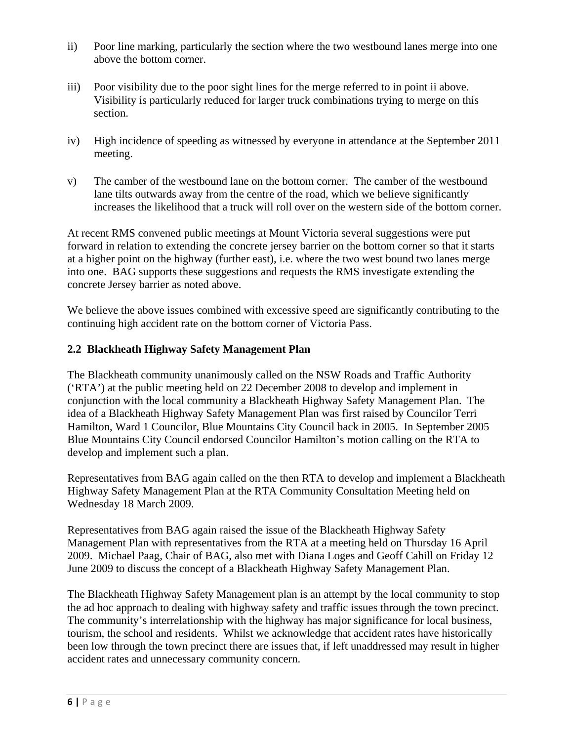- ii) Poor line marking, particularly the section where the two westbound lanes merge into one above the bottom corner.
- iii) Poor visibility due to the poor sight lines for the merge referred to in point ii above. Visibility is particularly reduced for larger truck combinations trying to merge on this section.
- iv) High incidence of speeding as witnessed by everyone in attendance at the September 2011 meeting.
- v) The camber of the westbound lane on the bottom corner. The camber of the westbound lane tilts outwards away from the centre of the road, which we believe significantly increases the likelihood that a truck will roll over on the western side of the bottom corner.

At recent RMS convened public meetings at Mount Victoria several suggestions were put forward in relation to extending the concrete jersey barrier on the bottom corner so that it starts at a higher point on the highway (further east), i.e. where the two west bound two lanes merge into one. BAG supports these suggestions and requests the RMS investigate extending the concrete Jersey barrier as noted above.

We believe the above issues combined with excessive speed are significantly contributing to the continuing high accident rate on the bottom corner of Victoria Pass.

## **2.2 Blackheath Highway Safety Management Plan**

The Blackheath community unanimously called on the NSW Roads and Traffic Authority ('RTA') at the public meeting held on 22 December 2008 to develop and implement in conjunction with the local community a Blackheath Highway Safety Management Plan. The idea of a Blackheath Highway Safety Management Plan was first raised by Councilor Terri Hamilton, Ward 1 Councilor, Blue Mountains City Council back in 2005. In September 2005 Blue Mountains City Council endorsed Councilor Hamilton's motion calling on the RTA to develop and implement such a plan.

Representatives from BAG again called on the then RTA to develop and implement a Blackheath Highway Safety Management Plan at the RTA Community Consultation Meeting held on Wednesday 18 March 2009.

Representatives from BAG again raised the issue of the Blackheath Highway Safety Management Plan with representatives from the RTA at a meeting held on Thursday 16 April 2009. Michael Paag, Chair of BAG, also met with Diana Loges and Geoff Cahill on Friday 12 June 2009 to discuss the concept of a Blackheath Highway Safety Management Plan.

The Blackheath Highway Safety Management plan is an attempt by the local community to stop the ad hoc approach to dealing with highway safety and traffic issues through the town precinct. The community's interrelationship with the highway has major significance for local business, tourism, the school and residents. Whilst we acknowledge that accident rates have historically been low through the town precinct there are issues that, if left unaddressed may result in higher accident rates and unnecessary community concern.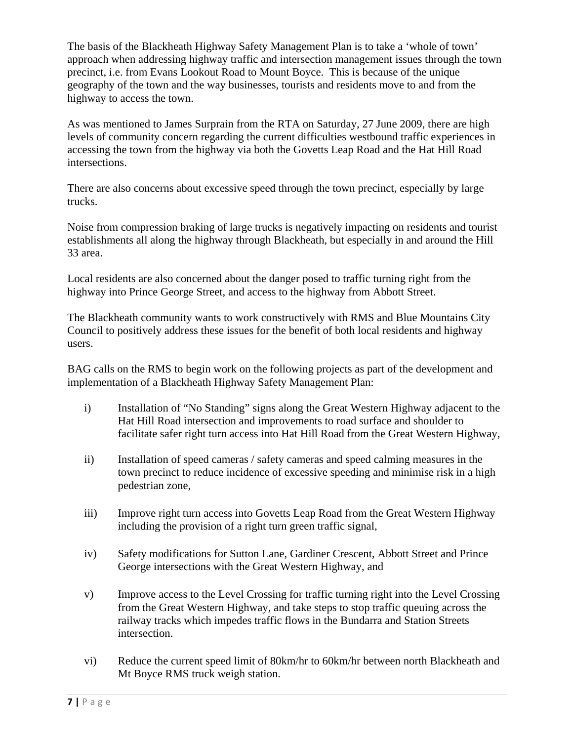The basis of the Blackheath Highway Safety Management Plan is to take a 'whole of town' approach when addressing highway traffic and intersection management issues through the town precinct, i.e. from Evans Lookout Road to Mount Boyce. This is because of the unique geography of the town and the way businesses, tourists and residents move to and from the highway to access the town.

As was mentioned to James Surprain from the RTA on Saturday, 27 June 2009, there are high levels of community concern regarding the current difficulties westbound traffic experiences in accessing the town from the highway via both the Govetts Leap Road and the Hat Hill Road intersections.

There are also concerns about excessive speed through the town precinct, especially by large trucks.

Noise from compression braking of large trucks is negatively impacting on residents and tourist establishments all along the highway through Blackheath, but especially in and around the Hill 33 area.

Local residents are also concerned about the danger posed to traffic turning right from the highway into Prince George Street, and access to the highway from Abbott Street.

The Blackheath community wants to work constructively with RMS and Blue Mountains City Council to positively address these issues for the benefit of both local residents and highway users.

BAG calls on the RMS to begin work on the following projects as part of the development and implementation of a Blackheath Highway Safety Management Plan:

- i) Installation of "No Standing" signs along the Great Western Highway adjacent to the Hat Hill Road intersection and improvements to road surface and shoulder to facilitate safer right turn access into Hat Hill Road from the Great Western Highway,
- ii) Installation of speed cameras / safety cameras and speed calming measures in the town precinct to reduce incidence of excessive speeding and minimise risk in a high pedestrian zone,
- iii) Improve right turn access into Govetts Leap Road from the Great Western Highway including the provision of a right turn green traffic signal,
- iv) Safety modifications for Sutton Lane, Gardiner Crescent, Abbott Street and Prince George intersections with the Great Western Highway, and
- v) Improve access to the Level Crossing for traffic turning right into the Level Crossing from the Great Western Highway, and take steps to stop traffic queuing across the railway tracks which impedes traffic flows in the Bundarra and Station Streets intersection.
- vi) Reduce the current speed limit of 80km/hr to 60km/hr between north Blackheath and Mt Boyce RMS truck weigh station.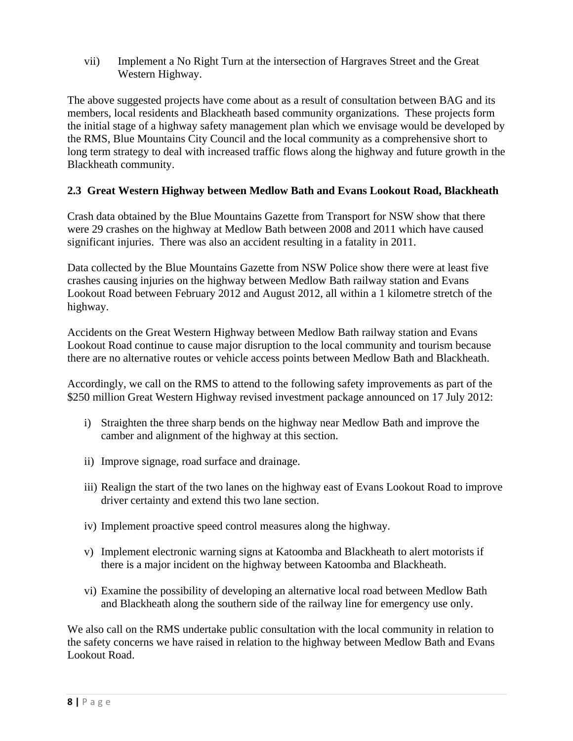vii) Implement a No Right Turn at the intersection of Hargraves Street and the Great Western Highway.

The above suggested projects have come about as a result of consultation between BAG and its members, local residents and Blackheath based community organizations. These projects form the initial stage of a highway safety management plan which we envisage would be developed by the RMS, Blue Mountains City Council and the local community as a comprehensive short to long term strategy to deal with increased traffic flows along the highway and future growth in the Blackheath community.

## **2.3 Great Western Highway between Medlow Bath and Evans Lookout Road, Blackheath**

Crash data obtained by the Blue Mountains Gazette from Transport for NSW show that there were 29 crashes on the highway at Medlow Bath between 2008 and 2011 which have caused significant injuries. There was also an accident resulting in a fatality in 2011.

Data collected by the Blue Mountains Gazette from NSW Police show there were at least five crashes causing injuries on the highway between Medlow Bath railway station and Evans Lookout Road between February 2012 and August 2012, all within a 1 kilometre stretch of the highway.

Accidents on the Great Western Highway between Medlow Bath railway station and Evans Lookout Road continue to cause major disruption to the local community and tourism because there are no alternative routes or vehicle access points between Medlow Bath and Blackheath.

Accordingly, we call on the RMS to attend to the following safety improvements as part of the \$250 million Great Western Highway revised investment package announced on 17 July 2012:

- i) Straighten the three sharp bends on the highway near Medlow Bath and improve the camber and alignment of the highway at this section.
- ii) Improve signage, road surface and drainage.
- iii) Realign the start of the two lanes on the highway east of Evans Lookout Road to improve driver certainty and extend this two lane section.
- iv) Implement proactive speed control measures along the highway.
- v) Implement electronic warning signs at Katoomba and Blackheath to alert motorists if there is a major incident on the highway between Katoomba and Blackheath.
- vi) Examine the possibility of developing an alternative local road between Medlow Bath and Blackheath along the southern side of the railway line for emergency use only.

We also call on the RMS undertake public consultation with the local community in relation to the safety concerns we have raised in relation to the highway between Medlow Bath and Evans Lookout Road.